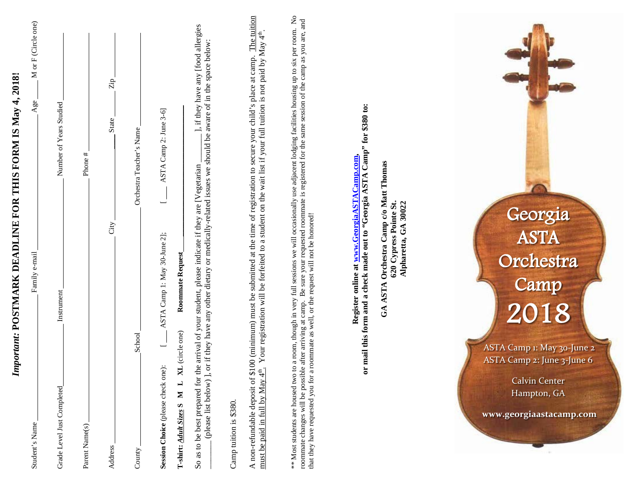| M or F (Circle one)<br>important: POSTMARK DEADLINE FOR THIS FORM IS May 4, 2018!<br>Age<br>Family e-mail<br>Student's Name                                                                                                                                                                                                                                                                                                                              |
|----------------------------------------------------------------------------------------------------------------------------------------------------------------------------------------------------------------------------------------------------------------------------------------------------------------------------------------------------------------------------------------------------------------------------------------------------------|
| Number of Years Studied<br>Instrument<br>Grade Level Just Completed                                                                                                                                                                                                                                                                                                                                                                                      |
| Phone#<br>Parent Name(s)                                                                                                                                                                                                                                                                                                                                                                                                                                 |
| $\rm Zip$<br>State<br>City<br>Address                                                                                                                                                                                                                                                                                                                                                                                                                    |
| Orchestra Teacher's Name<br>School<br>County                                                                                                                                                                                                                                                                                                                                                                                                             |
| ASTA Camp 2: June 3-6]<br>ASTA Camp 1: May 30-June 2];<br>Roommate Request<br>XL (circle one)<br>Session Choice (please check one):<br>$\mathbf{L}$<br>Σ<br>T-shirt: Adult Sizes S                                                                                                                                                                                                                                                                       |
| ], if they have any [food allergies<br>or if they have any other dietary or medically-related issues we should be aware of in the space below:<br>So as to be best prepared for the arrival of your student, please indicate if they are [Vegetarian<br>(please list below)],                                                                                                                                                                            |
| Camp tuition is \$380.                                                                                                                                                                                                                                                                                                                                                                                                                                   |
| The tuition<br>Your registration will be forfeited to a student on the wait list if your full tuition is not paid by May 4 <sup>th</sup> .<br>A non-refundable deposit of \$100 (minimum) must be submitted at the time of registration to secure your child's place at camp.<br>must be paid in full by May $4^{\text{th}}$ .                                                                                                                           |
| to a room, though in very full sessions we will occasionally use adjacent lodging facilities housing up to six per room. No<br>ble after arriving at camp. Be sure your requested roommate is registered for the same session of the camp as you are, and<br>a roommate as well, or the request will not be honored!<br>roommate changes will be possible after arriving at camp.<br>** Most students are housed two<br>that they have requested you for |
| or mail this form and a check made out to "Georgia ASTA Camp" for \$380 to:<br>Register online at www.GeorgiaASTACamp.com,                                                                                                                                                                                                                                                                                                                               |
| Orchestra Camp c/o Matt Thomas<br>620 Cypress Pointe St.<br>Alpharetta, GA 30022<br><b>GA ASTA</b>                                                                                                                                                                                                                                                                                                                                                       |
|                                                                                                                                                                                                                                                                                                                                                                                                                                                          |
| Georgia<br>ASTA<br>Orchestra<br>Camp<br>2018<br>ASTA Camp 1: May 30-June 2<br>ASTA Camp 2: June 3-June 6<br><b>Calvin Center</b><br>Hampton, GA<br>www.georgiaastacamp.com                                                                                                                                                                                                                                                                               |